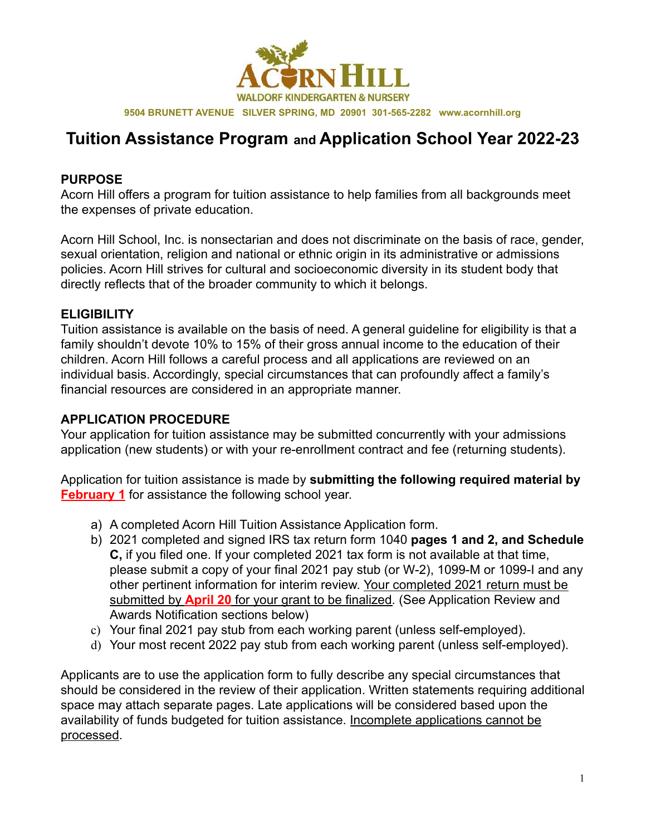

**9504 BRUNETT AVENUE SILVER SPRING, MD 20901 301-565-2282 www.acornhill.org**

## **Tuition Assistance Program and Application School Year 2022-23**

#### **PURPOSE**

Acorn Hill offers a program for tuition assistance to help families from all backgrounds meet the expenses of private education.

Acorn Hill School, Inc. is nonsectarian and does not discriminate on the basis of race, gender, sexual orientation, religion and national or ethnic origin in its administrative or admissions policies. Acorn Hill strives for cultural and socioeconomic diversity in its student body that directly reflects that of the broader community to which it belongs.

### **ELIGIBILITY**

Tuition assistance is available on the basis of need. A general guideline for eligibility is that a family shouldn't devote 10% to 15% of their gross annual income to the education of their children. Acorn Hill follows a careful process and all applications are reviewed on an individual basis. Accordingly, special circumstances that can profoundly affect a family's financial resources are considered in an appropriate manner.

### **APPLICATION PROCEDURE**

Your application for tuition assistance may be submitted concurrently with your admissions application (new students) or with your re-enrollment contract and fee (returning students).

Application for tuition assistance is made by **submitting the following required material by February 1** for assistance the following school year.

- a) A completed Acorn Hill Tuition Assistance Application form.
- b) 2021 completed and signed IRS tax return form 1040 **pages 1 and 2, and Schedule C,** if you filed one. If your completed 2021 tax form is not available at that time, please submit a copy of your final 2021 pay stub (or W-2), 1099-M or 1099-I and any other pertinent information for interim review. Your completed 2021 return must be submitted by **April 20** for your grant to be finalized. (See Application Review and Awards Notification sections below)
- c) Your final 2021 pay stub from each working parent (unless self-employed).
- d) Your most recent 2022 pay stub from each working parent (unless self-employed).

Applicants are to use the application form to fully describe any special circumstances that should be considered in the review of their application. Written statements requiring additional space may attach separate pages. Late applications will be considered based upon the availability of funds budgeted for tuition assistance. Incomplete applications cannot be processed.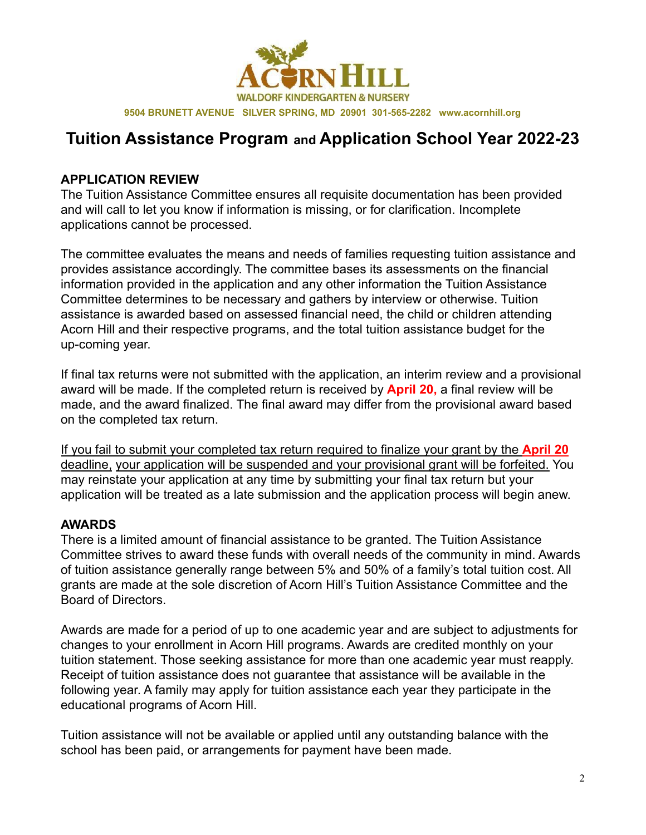

# **Tuition Assistance Program and Application School Year 2022-23**

#### **APPLICATION REVIEW**

The Tuition Assistance Committee ensures all requisite documentation has been provided and will call to let you know if information is missing, or for clarification. Incomplete applications cannot be processed.

The committee evaluates the means and needs of families requesting tuition assistance and provides assistance accordingly. The committee bases its assessments on the financial information provided in the application and any other information the Tuition Assistance Committee determines to be necessary and gathers by interview or otherwise. Tuition assistance is awarded based on assessed financial need, the child or children attending Acorn Hill and their respective programs, and the total tuition assistance budget for the up-coming year.

If final tax returns were not submitted with the application, an interim review and a provisional award will be made. If the completed return is received by **April 20,** a final review will be made, and the award finalized. The final award may differ from the provisional award based on the completed tax return.

If you fail to submit your completed tax return required to finalize your grant by the **April 20** deadline, your application will be suspended and your provisional grant will be forfeited. You may reinstate your application at any time by submitting your final tax return but your application will be treated as a late submission and the application process will begin anew.

### **AWARDS**

There is a limited amount of financial assistance to be granted. The Tuition Assistance Committee strives to award these funds with overall needs of the community in mind. Awards of tuition assistance generally range between 5% and 50% of a family's total tuition cost. All grants are made at the sole discretion of Acorn Hill's Tuition Assistance Committee and the Board of Directors.

Awards are made for a period of up to one academic year and are subject to adjustments for changes to your enrollment in Acorn Hill programs. Awards are credited monthly on your tuition statement. Those seeking assistance for more than one academic year must reapply. Receipt of tuition assistance does not guarantee that assistance will be available in the following year. A family may apply for tuition assistance each year they participate in the educational programs of Acorn Hill.

Tuition assistance will not be available or applied until any outstanding balance with the school has been paid, or arrangements for payment have been made.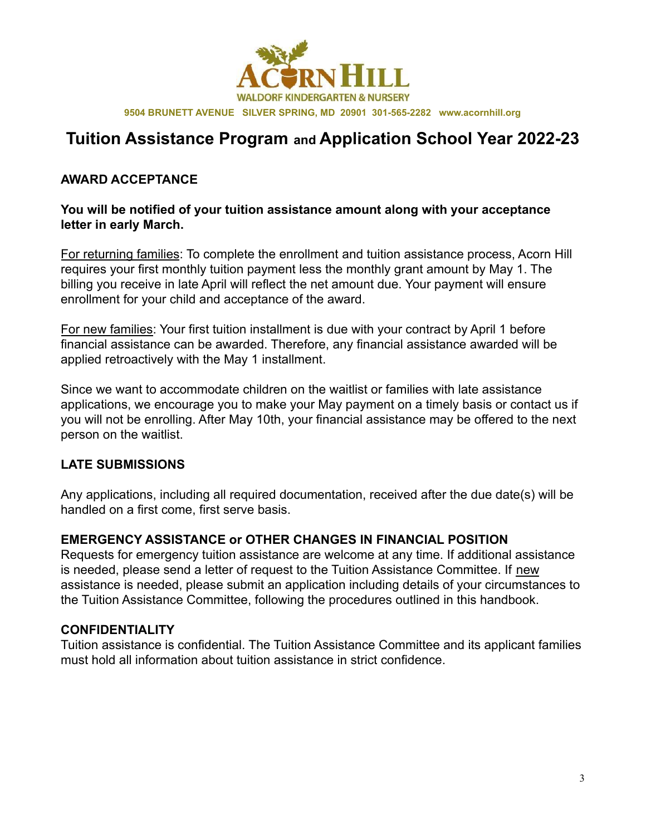

# **Tuition Assistance Program and Application School Year 2022-23**

#### **AWARD ACCEPTANCE**

#### **You will be notified of your tuition assistance amount along with your acceptance letter in early March.**

For returning families: To complete the enrollment and tuition assistance process, Acorn Hill requires your first monthly tuition payment less the monthly grant amount by May 1. The billing you receive in late April will reflect the net amount due. Your payment will ensure enrollment for your child and acceptance of the award.

For new families: Your first tuition installment is due with your contract by April 1 before financial assistance can be awarded. Therefore, any financial assistance awarded will be applied retroactively with the May 1 installment.

Since we want to accommodate children on the waitlist or families with late assistance applications, we encourage you to make your May payment on a timely basis or contact us if you will not be enrolling. After May 10th, your financial assistance may be offered to the next person on the waitlist.

#### **LATE SUBMISSIONS**

Any applications, including all required documentation, received after the due date(s) will be handled on a first come, first serve basis.

#### **EMERGENCY ASSISTANCE or OTHER CHANGES IN FINANCIAL POSITION**

Requests for emergency tuition assistance are welcome at any time. If additional assistance is needed, please send a letter of request to the Tuition Assistance Committee. If new assistance is needed, please submit an application including details of your circumstances to the Tuition Assistance Committee, following the procedures outlined in this handbook.

#### **CONFIDENTIALITY**

Tuition assistance is confidential. The Tuition Assistance Committee and its applicant families must hold all information about tuition assistance in strict confidence.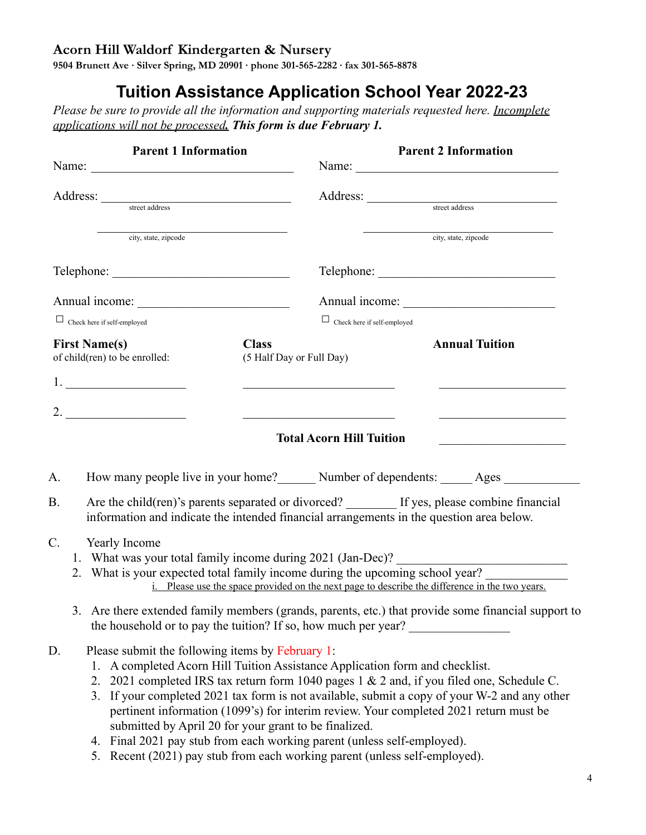## **Acorn Hill Waldorf Kindergarten & Nursery**

**9504 Brunett Ave ∙ Silver Spring, MD 20901 ∙ phone 301-565-2282 ∙ fax 301-565-8878**

# **Tuition Assistance Application School Year 2022-23**

*Please be sure to provide all the information and supporting materials requested here. Incomplete applications will not be processed. This form is due February 1.*

| <b>Parent 1 Information</b>                                                                                                                                                                                                                                                                                                                                 |                                          | <b>Parent 2 Information</b>                                                                                                                                                                                                          |                                                                                                                                                                                                                                                                                    |  |
|-------------------------------------------------------------------------------------------------------------------------------------------------------------------------------------------------------------------------------------------------------------------------------------------------------------------------------------------------------------|------------------------------------------|--------------------------------------------------------------------------------------------------------------------------------------------------------------------------------------------------------------------------------------|------------------------------------------------------------------------------------------------------------------------------------------------------------------------------------------------------------------------------------------------------------------------------------|--|
| Name:                                                                                                                                                                                                                                                                                                                                                       |                                          |                                                                                                                                                                                                                                      |                                                                                                                                                                                                                                                                                    |  |
|                                                                                                                                                                                                                                                                                                                                                             |                                          | Address: street address                                                                                                                                                                                                              |                                                                                                                                                                                                                                                                                    |  |
| city, state, zipcode                                                                                                                                                                                                                                                                                                                                        |                                          |                                                                                                                                                                                                                                      | city, state, zipcode                                                                                                                                                                                                                                                               |  |
|                                                                                                                                                                                                                                                                                                                                                             |                                          |                                                                                                                                                                                                                                      |                                                                                                                                                                                                                                                                                    |  |
|                                                                                                                                                                                                                                                                                                                                                             |                                          |                                                                                                                                                                                                                                      |                                                                                                                                                                                                                                                                                    |  |
| $\Box$ Check here if self-employed                                                                                                                                                                                                                                                                                                                          |                                          | $\Box$ Check here if self-employed                                                                                                                                                                                                   |                                                                                                                                                                                                                                                                                    |  |
| <b>First Name(s)</b><br>of child(ren) to be enrolled:                                                                                                                                                                                                                                                                                                       | <b>Class</b><br>(5 Half Day or Full Day) |                                                                                                                                                                                                                                      | <b>Annual Tuition</b>                                                                                                                                                                                                                                                              |  |
|                                                                                                                                                                                                                                                                                                                                                             |                                          | <u> 1999 - Johann John Harry Harry Harry Harry Harry Harry Harry Harry Harry Harry Harry Harry Harry Harry Harry Harry Harry Harry Harry Harry Harry Harry Harry Harry Harry Harry Harry Harry Harry Harry Harry Harry Harry Har</u> | the control of the control of the control of the control of the control of                                                                                                                                                                                                         |  |
| 2.                                                                                                                                                                                                                                                                                                                                                          |                                          | <u> 1990 - Johann Stoff, amerikansk politiker (</u>                                                                                                                                                                                  |                                                                                                                                                                                                                                                                                    |  |
|                                                                                                                                                                                                                                                                                                                                                             |                                          | <b>Total Acorn Hill Tuition</b>                                                                                                                                                                                                      |                                                                                                                                                                                                                                                                                    |  |
| A.                                                                                                                                                                                                                                                                                                                                                          |                                          |                                                                                                                                                                                                                                      | How many people live in your home? Number of dependents: Ages                                                                                                                                                                                                                      |  |
| В.                                                                                                                                                                                                                                                                                                                                                          |                                          |                                                                                                                                                                                                                                      | Are the child(ren)'s parents separated or divorced? ________ If yes, please combine financial<br>information and indicate the intended financial arrangements in the question area below.                                                                                          |  |
| C.<br>Yearly Income                                                                                                                                                                                                                                                                                                                                         |                                          |                                                                                                                                                                                                                                      | 1. What was your total family income during 2021 (Jan-Dec)? ____________________<br>2. What is your expected total family income during the upcoming school year?<br>i. Please use the space provided on the next page to describe the difference in the two years.                |  |
|                                                                                                                                                                                                                                                                                                                                                             |                                          |                                                                                                                                                                                                                                      | 3. Are there extended family members (grands, parents, etc.) that provide some financial support to<br>the household or to pay the tuition? If so, how much per year?                                                                                                              |  |
| Please submit the following items by February 1:<br>D.<br>1. A completed Acorn Hill Tuition Assistance Application form and checklist.<br>submitted by April 20 for your grant to be finalized.<br>Final 2021 pay stub from each working parent (unless self-employed).<br>4.<br>5. Recent (2021) pay stub from each working parent (unless self-employed). |                                          |                                                                                                                                                                                                                                      | 2. 2021 completed IRS tax return form 1040 pages 1 & 2 and, if you filed one, Schedule C.<br>3. If your completed 2021 tax form is not available, submit a copy of your W-2 and any other<br>pertinent information (1099's) for interim review. Your completed 2021 return must be |  |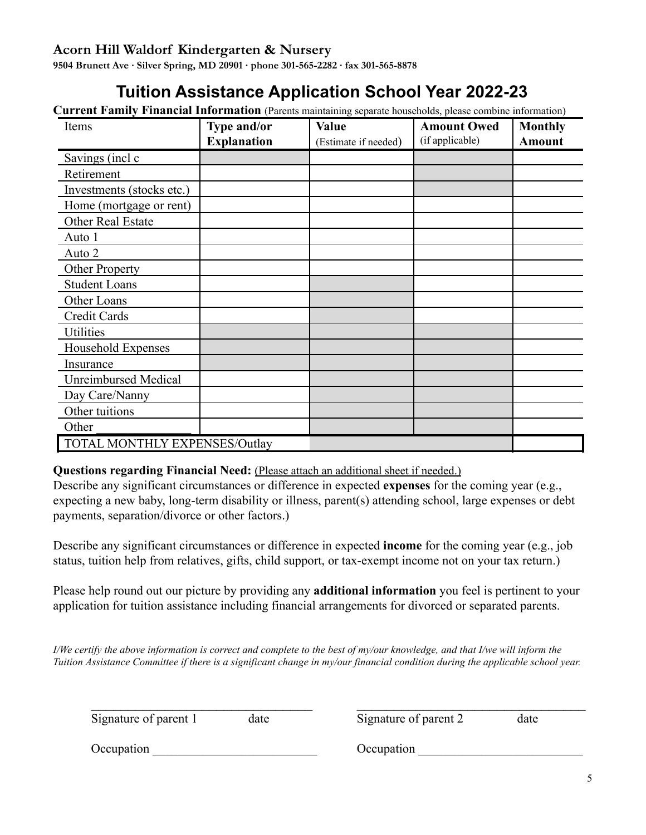### **Acorn Hill Waldorf Kindergarten & Nursery**

**9504 Brunett Ave ∙ Silver Spring, MD 20901 ∙ phone 301-565-2282 ∙ fax 301-565-8878**

# **Tuition Assistance Application School Year 2022-23**

**Current Family Financial Information** (Parents maintaining separate households, please combine information)

| Items                                | Type and/or        | <b>Value</b>         | <b>Amount Owed</b> | <b>Monthly</b> |
|--------------------------------------|--------------------|----------------------|--------------------|----------------|
|                                      | <b>Explanation</b> | (Estimate if needed) | (if applicable)    | <b>Amount</b>  |
| Savings (incl c                      |                    |                      |                    |                |
| Retirement                           |                    |                      |                    |                |
| Investments (stocks etc.)            |                    |                      |                    |                |
| Home (mortgage or rent)              |                    |                      |                    |                |
| Other Real Estate                    |                    |                      |                    |                |
| Auto 1                               |                    |                      |                    |                |
| Auto 2                               |                    |                      |                    |                |
| <b>Other Property</b>                |                    |                      |                    |                |
| <b>Student Loans</b>                 |                    |                      |                    |                |
| Other Loans                          |                    |                      |                    |                |
| Credit Cards                         |                    |                      |                    |                |
| <b>Utilities</b>                     |                    |                      |                    |                |
| Household Expenses                   |                    |                      |                    |                |
| Insurance                            |                    |                      |                    |                |
| <b>Unreimbursed Medical</b>          |                    |                      |                    |                |
| Day Care/Nanny                       |                    |                      |                    |                |
| Other tuitions                       |                    |                      |                    |                |
| Other                                |                    |                      |                    |                |
| <b>TOTAL MONTHLY EXPENSES/Outlay</b> |                    |                      |                    |                |

#### **Questions regarding Financial Need:** (Please attach an additional sheet if needed.)

Describe any significant circumstances or difference in expected **expenses** for the coming year (e.g., expecting a new baby, long-term disability or illness, parent(s) attending school, large expenses or debt payments, separation/divorce or other factors.)

Describe any significant circumstances or difference in expected **income** for the coming year (e.g., job status, tuition help from relatives, gifts, child support, or tax-exempt income not on your tax return.)

Please help round out our picture by providing any **additional information** you feel is pertinent to your application for tuition assistance including financial arrangements for divorced or separated parents.

I/We certify the above information is correct and complete to the best of my/our knowledge, and that I/we will inform the Tuition Assistance Committee if there is a significant change in my/our financial condition during the applicable school year.

| Signature of parent 1 | date | Signature of parent 2 | date |
|-----------------------|------|-----------------------|------|
| Occupation            |      | Occupation            |      |